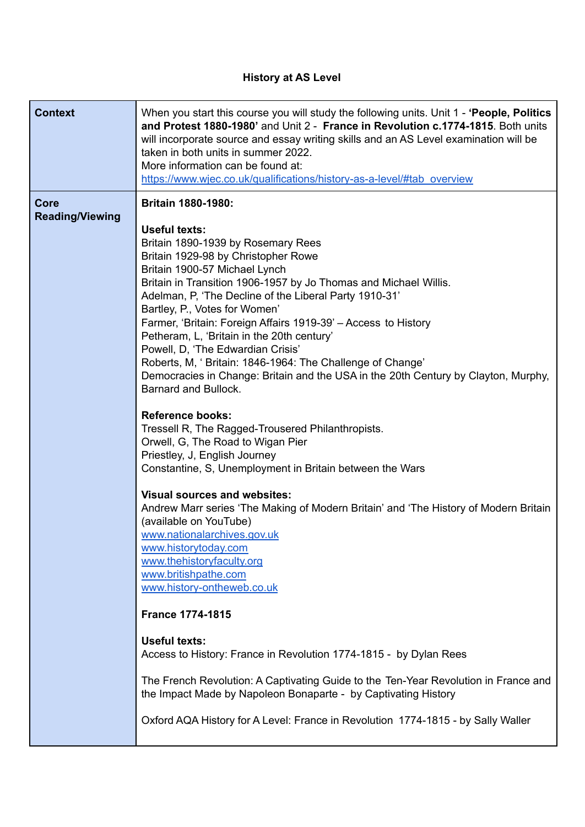## **History at AS Level**

| <b>Context</b>                        | When you start this course you will study the following units. Unit 1 - 'People, Politics<br>and Protest 1880-1980' and Unit 2 - France in Revolution c.1774-1815. Both units<br>will incorporate source and essay writing skills and an AS Level examination will be<br>taken in both units in summer 2022.<br>More information can be found at:<br>https://www.wjec.co.uk/qualifications/history-as-a-level/#tab overview                                                                                                                                                                                                                                                                                                                                                                                                                                                                                                                                                                                                                                                                                                                                                         |
|---------------------------------------|-------------------------------------------------------------------------------------------------------------------------------------------------------------------------------------------------------------------------------------------------------------------------------------------------------------------------------------------------------------------------------------------------------------------------------------------------------------------------------------------------------------------------------------------------------------------------------------------------------------------------------------------------------------------------------------------------------------------------------------------------------------------------------------------------------------------------------------------------------------------------------------------------------------------------------------------------------------------------------------------------------------------------------------------------------------------------------------------------------------------------------------------------------------------------------------|
| <b>Core</b><br><b>Reading/Viewing</b> | <b>Britain 1880-1980:</b><br><b>Useful texts:</b><br>Britain 1890-1939 by Rosemary Rees<br>Britain 1929-98 by Christopher Rowe<br>Britain 1900-57 Michael Lynch<br>Britain in Transition 1906-1957 by Jo Thomas and Michael Willis.<br>Adelman, P, 'The Decline of the Liberal Party 1910-31'<br>Bartley, P., Votes for Women'<br>Farmer, 'Britain: Foreign Affairs 1919-39' - Access to History<br>Petheram, L, 'Britain in the 20th century'<br>Powell, D, 'The Edwardian Crisis'<br>Roberts, M, 'Britain: 1846-1964: The Challenge of Change'<br>Democracies in Change: Britain and the USA in the 20th Century by Clayton, Murphy,<br>Barnard and Bullock.<br><b>Reference books:</b><br>Tressell R, The Ragged-Trousered Philanthropists.<br>Orwell, G, The Road to Wigan Pier<br>Priestley, J, English Journey<br>Constantine, S, Unemployment in Britain between the Wars<br><b>Visual sources and websites:</b><br>Andrew Marr series 'The Making of Modern Britain' and 'The History of Modern Britain<br>(available on YouTube)<br>www.nationalarchives.gov.uk<br>www.historytoday.com<br>www.thehistoryfaculty.org<br>www.britishpathe.com<br>www.history-ontheweb.co.uk |
|                                       | <b>France 1774-1815</b><br><b>Useful texts:</b>                                                                                                                                                                                                                                                                                                                                                                                                                                                                                                                                                                                                                                                                                                                                                                                                                                                                                                                                                                                                                                                                                                                                     |
|                                       | Access to History: France in Revolution 1774-1815 - by Dylan Rees<br>The French Revolution: A Captivating Guide to the Ten-Year Revolution in France and<br>the Impact Made by Napoleon Bonaparte - by Captivating History<br>Oxford AQA History for A Level: France in Revolution 1774-1815 - by Sally Waller                                                                                                                                                                                                                                                                                                                                                                                                                                                                                                                                                                                                                                                                                                                                                                                                                                                                      |

ı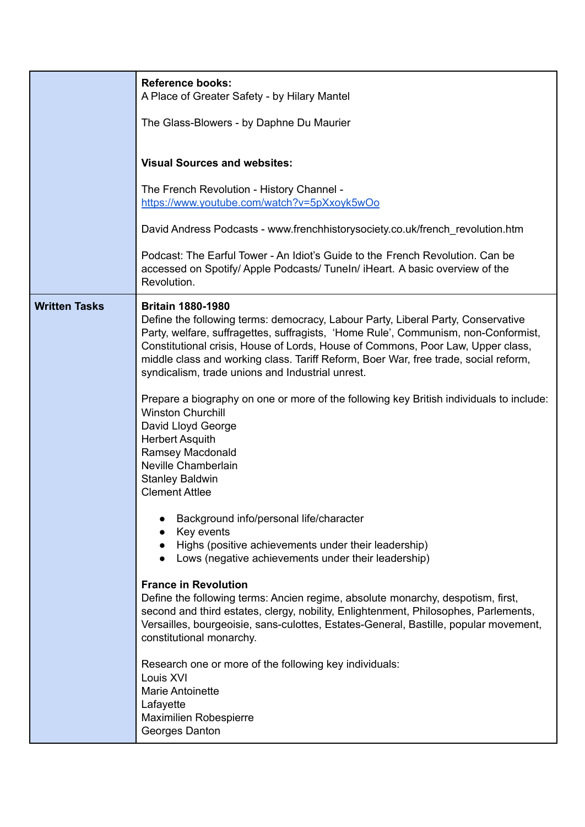|                      | <b>Reference books:</b><br>A Place of Greater Safety - by Hilary Mantel<br>The Glass-Blowers - by Daphne Du Maurier<br><b>Visual Sources and websites:</b><br>The French Revolution - History Channel -<br>https://www.youtube.com/watch?v=5pXxoyk5wOo<br>David Andress Podcasts - www.frenchhistorysociety.co.uk/french_revolution.htm<br>Podcast: The Earful Tower - An Idiot's Guide to the French Revolution. Can be<br>accessed on Spotify/ Apple Podcasts/ Tuneln/ iHeart. A basic overview of the |
|----------------------|----------------------------------------------------------------------------------------------------------------------------------------------------------------------------------------------------------------------------------------------------------------------------------------------------------------------------------------------------------------------------------------------------------------------------------------------------------------------------------------------------------|
|                      | Revolution.                                                                                                                                                                                                                                                                                                                                                                                                                                                                                              |
| <b>Written Tasks</b> | <b>Britain 1880-1980</b><br>Define the following terms: democracy, Labour Party, Liberal Party, Conservative<br>Party, welfare, suffragettes, suffragists, 'Home Rule', Communism, non-Conformist,<br>Constitutional crisis, House of Lords, House of Commons, Poor Law, Upper class,<br>middle class and working class. Tariff Reform, Boer War, free trade, social reform,<br>syndicalism, trade unions and Industrial unrest.                                                                         |
|                      | Prepare a biography on one or more of the following key British individuals to include:<br><b>Winston Churchill</b><br>David Lloyd George<br><b>Herbert Asquith</b><br>Ramsey Macdonald<br>Neville Chamberlain<br><b>Stanley Baldwin</b><br><b>Clement Attlee</b>                                                                                                                                                                                                                                        |
|                      | Background info/personal life/character<br>Key events<br>Highs (positive achievements under their leadership)<br>Lows (negative achievements under their leadership)                                                                                                                                                                                                                                                                                                                                     |
|                      | <b>France in Revolution</b><br>Define the following terms: Ancien regime, absolute monarchy, despotism, first,<br>second and third estates, clergy, nobility, Enlightenment, Philosophes, Parlements,<br>Versailles, bourgeoisie, sans-culottes, Estates-General, Bastille, popular movement,<br>constitutional monarchy.                                                                                                                                                                                |
|                      | Research one or more of the following key individuals:<br>Louis XVI<br><b>Marie Antoinette</b><br>Lafayette<br>Maximilien Robespierre<br>Georges Danton                                                                                                                                                                                                                                                                                                                                                  |